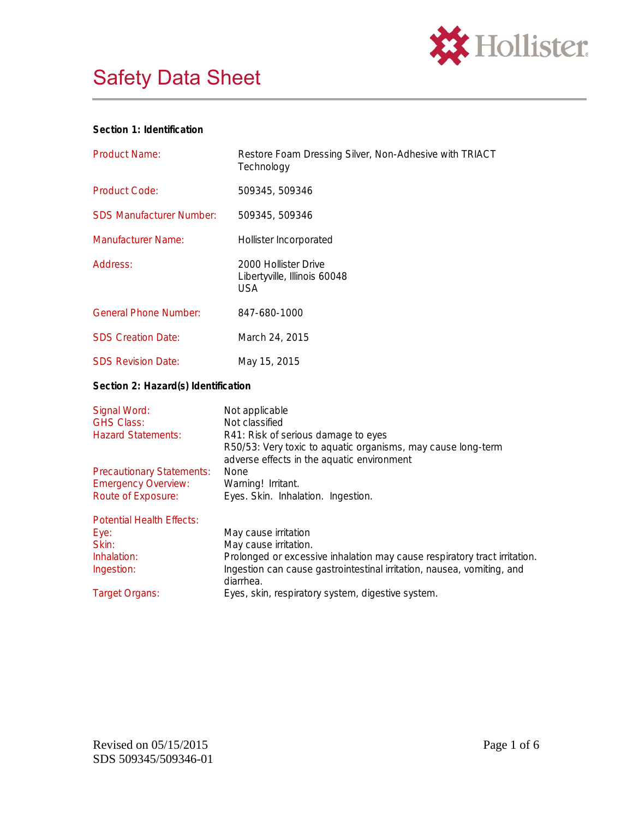



### **Section 1: Identification**

| <b>Product Name:</b>                                                                             | Restore Foam Dressing Silver, Non-Adhesive with TRIACT<br>Technology                                                                                                                                                                                                   |  |
|--------------------------------------------------------------------------------------------------|------------------------------------------------------------------------------------------------------------------------------------------------------------------------------------------------------------------------------------------------------------------------|--|
| <b>Product Code:</b>                                                                             | 509345, 509346                                                                                                                                                                                                                                                         |  |
| <b>SDS Manufacturer Number:</b>                                                                  | 509345, 509346                                                                                                                                                                                                                                                         |  |
| <b>Manufacturer Name:</b>                                                                        | Hollister Incorporated                                                                                                                                                                                                                                                 |  |
| Address:                                                                                         | 2000 Hollister Drive<br>Libertyville, Illinois 60048<br><b>USA</b>                                                                                                                                                                                                     |  |
| <b>General Phone Number:</b>                                                                     | 847-680-1000                                                                                                                                                                                                                                                           |  |
| <b>SDS Creation Date:</b>                                                                        | March 24, 2015                                                                                                                                                                                                                                                         |  |
| <b>SDS Revision Date:</b>                                                                        | May 15, 2015                                                                                                                                                                                                                                                           |  |
| Section 2: Hazard(s) Identification                                                              |                                                                                                                                                                                                                                                                        |  |
| Signal Word:<br><b>GHS Class:</b><br><b>Hazard Statements:</b>                                   | Not applicable<br>Not classified<br>R41: Risk of serious damage to eyes<br>R50/53: Very toxic to aquatic organisms, may cause long-term                                                                                                                                |  |
| <b>Precautionary Statements:</b><br><b>Emergency Overview:</b><br>Route of Exposure:             | adverse effects in the aquatic environment<br><b>None</b><br>Warning! Irritant.<br>Eyes. Skin. Inhalation. Ingestion.                                                                                                                                                  |  |
| <b>Potential Health Effects:</b><br>Eye:<br>Skin:<br>Inhalation:<br>Ingestion:<br>Target Organs: | May cause irritation<br>May cause irritation.<br>Prolonged or excessive inhalation may cause respiratory tract irritation.<br>Ingestion can cause gastrointestinal irritation, nausea, vomiting, and<br>diarrhea.<br>Eyes, skin, respiratory system, digestive system. |  |
|                                                                                                  |                                                                                                                                                                                                                                                                        |  |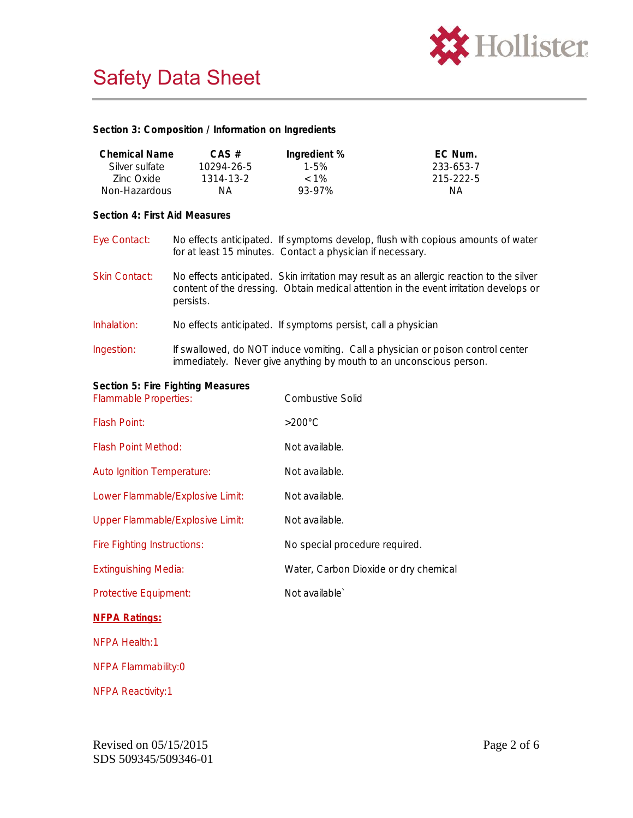

**Section 3: Composition / Information on Ingredients**

| <b>Chemical Name</b><br>Silver sulfate<br>Zinc Oxide<br>Non-Hazardous | $CAS$ #<br>10294-26-5<br>1314-13-2<br>NA.                                                                                                                                                      | Ingredient %<br>$1 - 5%$<br>$< 1\%$<br>93-97% | EC Num.<br>233-653-7<br>215-222-5<br>NА                                                                                                                |  |
|-----------------------------------------------------------------------|------------------------------------------------------------------------------------------------------------------------------------------------------------------------------------------------|-----------------------------------------------|--------------------------------------------------------------------------------------------------------------------------------------------------------|--|
| Section 4: First Aid Measures                                         |                                                                                                                                                                                                |                                               |                                                                                                                                                        |  |
| Eye Contact:                                                          | for at least 15 minutes. Contact a physician if necessary.                                                                                                                                     |                                               | No effects anticipated. If symptoms develop, flush with copious amounts of water                                                                       |  |
| <b>Skin Contact:</b>                                                  | No effects anticipated. Skin irritation may result as an allergic reaction to the silver<br>content of the dressing. Obtain medical attention in the event irritation develops or<br>persists. |                                               |                                                                                                                                                        |  |
| Inhalation:                                                           | No effects anticipated. If symptoms persist, call a physician                                                                                                                                  |                                               |                                                                                                                                                        |  |
| Ingestion:                                                            |                                                                                                                                                                                                |                                               | If swallowed, do NOT induce vomiting. Call a physician or poison control center<br>immediately. Never give anything by mouth to an unconscious person. |  |
| Section 5: Fire Fighting Measures<br><b>Flammable Properties:</b>     |                                                                                                                                                                                                | <b>Combustive Solid</b>                       |                                                                                                                                                        |  |
| Flash Point:                                                          |                                                                                                                                                                                                | $>200^{\circ}$ C                              |                                                                                                                                                        |  |
| <b>Flash Point Method:</b>                                            |                                                                                                                                                                                                | Not available.                                |                                                                                                                                                        |  |
| <b>Auto Ignition Temperature:</b>                                     |                                                                                                                                                                                                | Not available.                                |                                                                                                                                                        |  |
| Lower Flammable/Explosive Limit:                                      |                                                                                                                                                                                                | Not available.                                |                                                                                                                                                        |  |
| <b>Upper Flammable/Explosive Limit:</b>                               |                                                                                                                                                                                                | Not available.                                |                                                                                                                                                        |  |
| <b>Fire Fighting Instructions:</b>                                    |                                                                                                                                                                                                | No special procedure required.                |                                                                                                                                                        |  |
| <b>Extinguishing Media:</b>                                           |                                                                                                                                                                                                |                                               | Water, Carbon Dioxide or dry chemical                                                                                                                  |  |
| Protective Equipment:                                                 |                                                                                                                                                                                                | Not available'                                |                                                                                                                                                        |  |
| <b>NFPA Ratings:</b>                                                  |                                                                                                                                                                                                |                                               |                                                                                                                                                        |  |
| NFPA Health:1                                                         |                                                                                                                                                                                                |                                               |                                                                                                                                                        |  |
| NFPA Flammability:0                                                   |                                                                                                                                                                                                |                                               |                                                                                                                                                        |  |
| <b>NFPA Reactivity:1</b>                                              |                                                                                                                                                                                                |                                               |                                                                                                                                                        |  |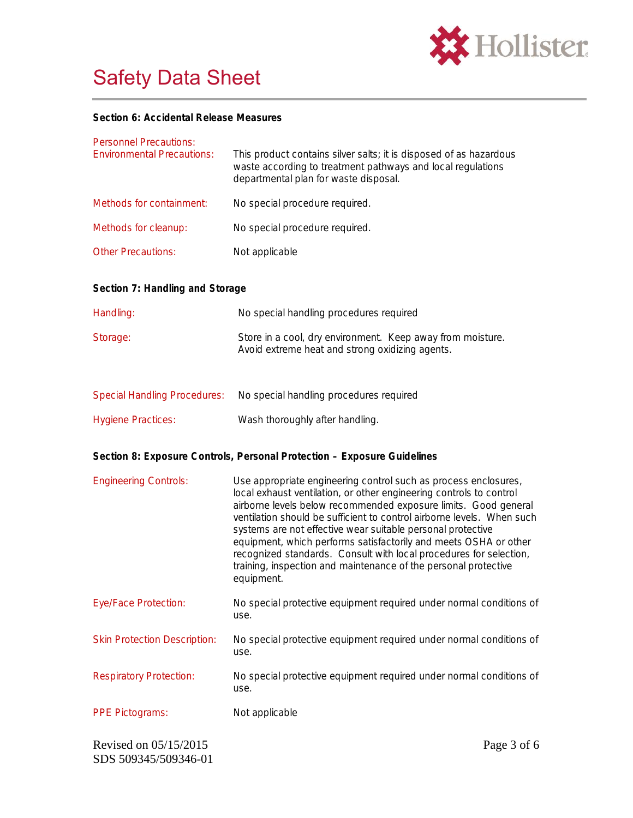

# Safety Data Sheet

**Section 6: Accidental Release Measures**

| <b>Personnel Precautions:</b><br><b>Environmental Precautions:</b> | This product contains silver salts; it is disposed of as hazardous<br>waste according to treatment pathways and local regulations<br>departmental plan for waste disposal.                                                                                                                                                                                                                                                                                                                                                                                                    |  |
|--------------------------------------------------------------------|-------------------------------------------------------------------------------------------------------------------------------------------------------------------------------------------------------------------------------------------------------------------------------------------------------------------------------------------------------------------------------------------------------------------------------------------------------------------------------------------------------------------------------------------------------------------------------|--|
| Methods for containment:                                           | No special procedure required.                                                                                                                                                                                                                                                                                                                                                                                                                                                                                                                                                |  |
| Methods for cleanup:                                               | No special procedure required.                                                                                                                                                                                                                                                                                                                                                                                                                                                                                                                                                |  |
| <b>Other Precautions:</b>                                          | Not applicable                                                                                                                                                                                                                                                                                                                                                                                                                                                                                                                                                                |  |
| Section 7: Handling and Storage                                    |                                                                                                                                                                                                                                                                                                                                                                                                                                                                                                                                                                               |  |
| Handling:                                                          | No special handling procedures required                                                                                                                                                                                                                                                                                                                                                                                                                                                                                                                                       |  |
| Storage:                                                           | Store in a cool, dry environment. Keep away from moisture.<br>Avoid extreme heat and strong oxidizing agents.                                                                                                                                                                                                                                                                                                                                                                                                                                                                 |  |
| <b>Special Handling Procedures:</b>                                | No special handling procedures required                                                                                                                                                                                                                                                                                                                                                                                                                                                                                                                                       |  |
| <b>Hygiene Practices:</b>                                          | Wash thoroughly after handling.                                                                                                                                                                                                                                                                                                                                                                                                                                                                                                                                               |  |
|                                                                    | Section 8: Exposure Controls, Personal Protection - Exposure Guidelines                                                                                                                                                                                                                                                                                                                                                                                                                                                                                                       |  |
| <b>Engineering Controls:</b>                                       | Use appropriate engineering control such as process enclosures,<br>local exhaust ventilation, or other engineering controls to control<br>airborne levels below recommended exposure limits. Good general<br>ventilation should be sufficient to control airborne levels. When such<br>systems are not effective wear suitable personal protective<br>equipment, which performs satisfactorily and meets OSHA or other<br>recognized standards. Consult with local procedures for selection,<br>training, inspection and maintenance of the personal protective<br>equipment. |  |
| <b>Eye/Face Protection:</b>                                        | No special protective equipment required under normal conditions of<br>use.                                                                                                                                                                                                                                                                                                                                                                                                                                                                                                   |  |
| <b>Skin Protection Description:</b>                                | No special protective equipment required under normal conditions of<br>use.                                                                                                                                                                                                                                                                                                                                                                                                                                                                                                   |  |
| <b>Respiratory Protection:</b>                                     | No special protective equipment required under normal conditions of<br>use.                                                                                                                                                                                                                                                                                                                                                                                                                                                                                                   |  |
| <b>PPE Pictograms:</b>                                             | Not applicable                                                                                                                                                                                                                                                                                                                                                                                                                                                                                                                                                                |  |
| Revised on 05/15/2015<br>SDS 509345/509346-01                      | Page 3 of 6                                                                                                                                                                                                                                                                                                                                                                                                                                                                                                                                                                   |  |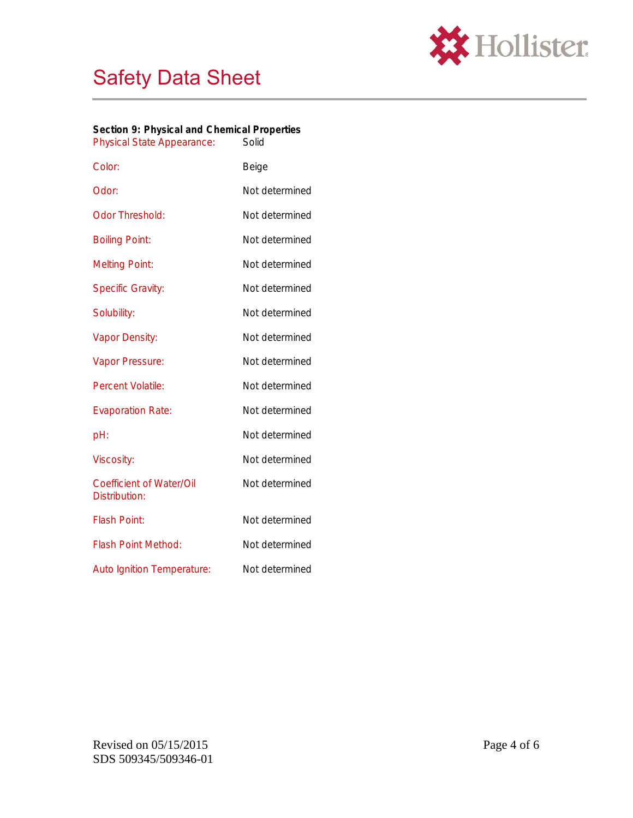



| Section 9: Physical and Chemical Properties |       |
|---------------------------------------------|-------|
| <b>Physical State Appearance:</b>           | Solid |

| Color:                                           | Beige          |
|--------------------------------------------------|----------------|
| Odor:                                            | Not determined |
| <b>Odor Threshold:</b>                           | Not determined |
| <b>Boiling Point:</b>                            | Not determined |
| <b>Melting Point:</b>                            | Not determined |
| <b>Specific Gravity:</b>                         | Not determined |
| Solubility:                                      | Not determined |
| Vapor Density:                                   | Not determined |
| Vapor Pressure:                                  | Not determined |
| <b>Percent Volatile:</b>                         | Not determined |
| <b>Evaporation Rate:</b>                         | Not determined |
| pH:                                              | Not determined |
| <b>Viscosity:</b>                                | Not determined |
| <b>Coefficient of Water/Oil</b><br>Distribution: | Not determined |
| <b>Flash Point:</b>                              | Not determined |
| <b>Flash Point Method:</b>                       | Not determined |
| <b>Auto Ignition Temperature:</b>                | Not determined |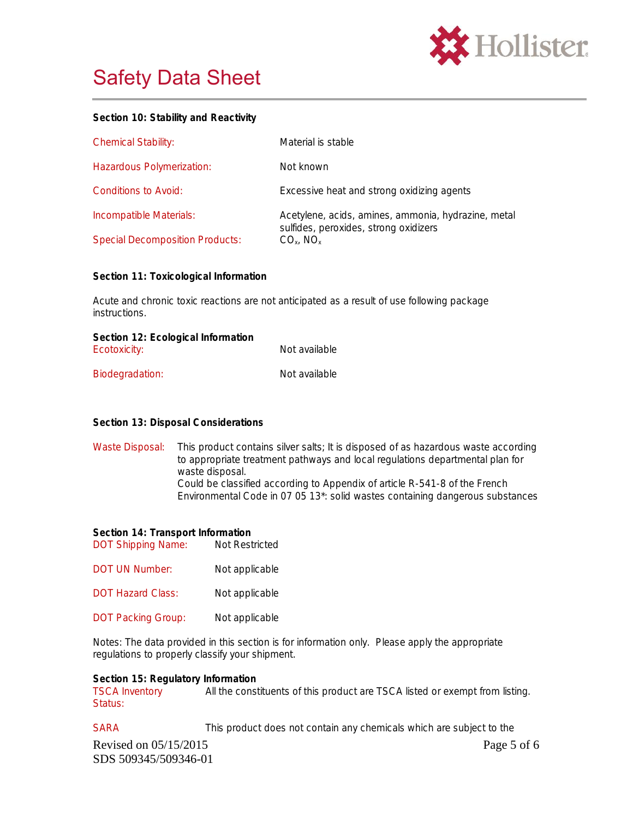

## Safety Data Sheet

#### **Section 10: Stability and Reactivity**

| <b>Chemical Stability:</b>             | Material is stable                                                                           |
|----------------------------------------|----------------------------------------------------------------------------------------------|
| Hazardous Polymerization:              | Not known                                                                                    |
| Conditions to Avoid:                   | Excessive heat and strong oxidizing agents                                                   |
| Incompatible Materials:                | Acetylene, acids, amines, ammonia, hydrazine, metal<br>sulfides, peroxides, strong oxidizers |
| <b>Special Decomposition Products:</b> | $CO_{x}$ , NO <sub>x</sub>                                                                   |

**Section 11: Toxicological Information**

Acute and chronic toxic reactions are not anticipated as a result of use following package instructions.

| Section 12: Ecological Information |               |
|------------------------------------|---------------|
| Ecotoxicity:                       | Not available |
| Biodegradation:                    | Not available |

### **Section 13: Disposal Considerations**

Waste Disposal: This product contains silver salts; It is disposed of as hazardous waste according to appropriate treatment pathways and local regulations departmental plan for waste disposal. Could be classified according to Appendix of article R-541-8 of the French Environmental Code in 07 05 13\*: solid wastes containing dangerous substances

**Section 14: Transport Information** DOT Shipping Name: Not Restricted

- DOT UN Number: Not applicable
- DOT Hazard Class: Not applicable
- DOT Packing Group: Not applicable

Notes: The data provided in this section is for information only. Please apply the appropriate regulations to properly classify your shipment.

**Section 15: Regulatory Information** TSCA Inventory Status: All the constituents of this product are TSCA listed or exempt from listing.

Revised on  $05/15/2015$  Page 5 of 6 SDS 509345/509346-01 SARA This product does not contain any chemicals which are subject to the